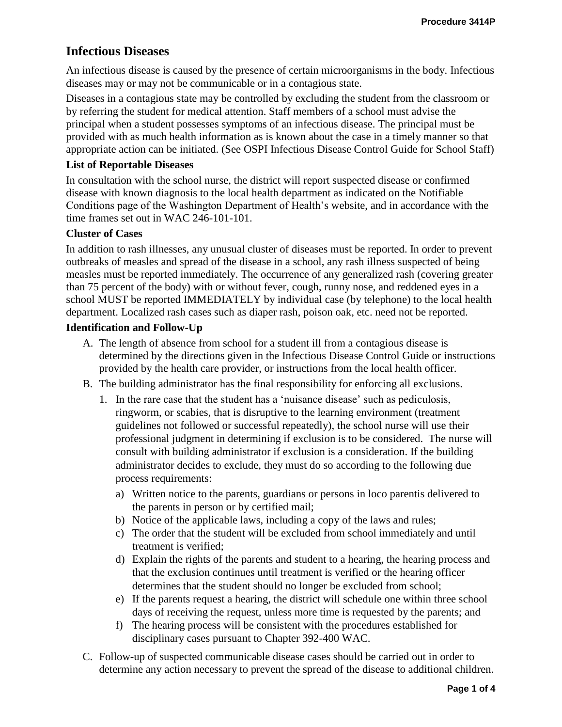# **Infectious Diseases**

An infectious disease is caused by the presence of certain microorganisms in the body. Infectious diseases may or may not be communicable or in a contagious state.

Diseases in a contagious state may be controlled by excluding the student from the classroom or by referring the student for medical attention. Staff members of a school must advise the principal when a student possesses symptoms of an infectious disease. The principal must be provided with as much health information as is known about the case in a timely manner so that appropriate action can be initiated. (See OSPI Infectious Disease Control Guide for School Staff)

## **List of Reportable Diseases**

In consultation with the school nurse, the district will report suspected disease or confirmed disease with known diagnosis to the local health department as indicated on the Notifiable Conditions page of the Washington Department of Health's website, and in accordance with the time frames set out in WAC 246-101-101.

## **Cluster of Cases**

In addition to rash illnesses, any unusual cluster of diseases must be reported. In order to prevent outbreaks of measles and spread of the disease in a school, any rash illness suspected of being measles must be reported immediately. The occurrence of any generalized rash (covering greater than 75 percent of the body) with or without fever, cough, runny nose, and reddened eyes in a school MUST be reported IMMEDIATELY by individual case (by telephone) to the local health department. Localized rash cases such as diaper rash, poison oak, etc. need not be reported.

## **Identification and Follow-Up**

- A. The length of absence from school for a student ill from a contagious disease is determined by the directions given in the Infectious Disease Control Guide or instructions provided by the health care provider, or instructions from the local health officer.
- B. The building administrator has the final responsibility for enforcing all exclusions.
	- 1. In the rare case that the student has a 'nuisance disease' such as pediculosis, ringworm, or scabies, that is disruptive to the learning environment (treatment guidelines not followed or successful repeatedly), the school nurse will use their professional judgment in determining if exclusion is to be considered. The nurse will consult with building administrator if exclusion is a consideration. If the building administrator decides to exclude, they must do so according to the following due process requirements:
		- a) Written notice to the parents, guardians or persons in loco parentis delivered to the parents in person or by certified mail;
		- b) Notice of the applicable laws, including a copy of the laws and rules;
		- c) The order that the student will be excluded from school immediately and until treatment is verified;
		- d) Explain the rights of the parents and student to a hearing, the hearing process and that the exclusion continues until treatment is verified or the hearing officer determines that the student should no longer be excluded from school;
		- e) If the parents request a hearing, the district will schedule one within three school days of receiving the request, unless more time is requested by the parents; and
		- f) The hearing process will be consistent with the procedures established for disciplinary cases pursuant to Chapter 392-400 WAC.
- C. Follow-up of suspected communicable disease cases should be carried out in order to determine any action necessary to prevent the spread of the disease to additional children.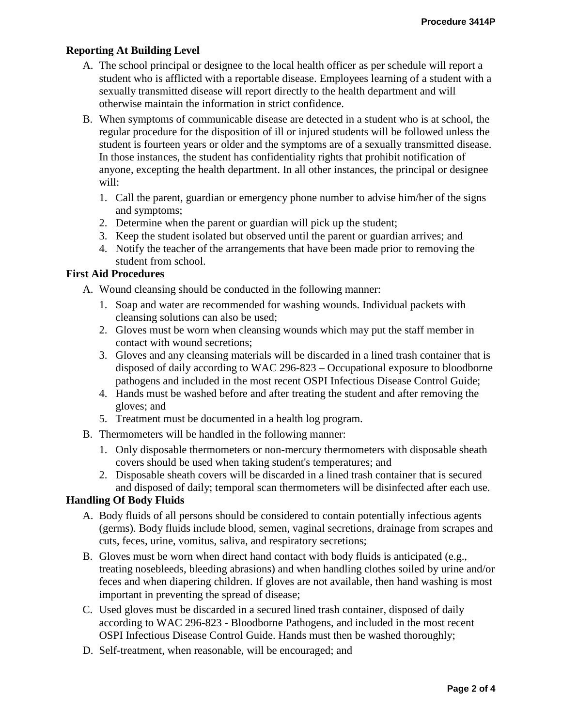## **Reporting At Building Level**

- A. The school principal or designee to the local health officer as per schedule will report a student who is afflicted with a reportable disease. Employees learning of a student with a sexually transmitted disease will report directly to the health department and will otherwise maintain the information in strict confidence.
- B. When symptoms of communicable disease are detected in a student who is at school, the regular procedure for the disposition of ill or injured students will be followed unless the student is fourteen years or older and the symptoms are of a sexually transmitted disease. In those instances, the student has confidentiality rights that prohibit notification of anyone, excepting the health department. In all other instances, the principal or designee will:
	- 1. Call the parent, guardian or emergency phone number to advise him/her of the signs and symptoms;
	- 2. Determine when the parent or guardian will pick up the student;
	- 3. Keep the student isolated but observed until the parent or guardian arrives; and
	- 4. Notify the teacher of the arrangements that have been made prior to removing the student from school.

## **First Aid Procedures**

A. Wound cleansing should be conducted in the following manner:

- 1. Soap and water are recommended for washing wounds. Individual packets with cleansing solutions can also be used;
- 2. Gloves must be worn when cleansing wounds which may put the staff member in contact with wound secretions;
- 3. Gloves and any cleansing materials will be discarded in a lined trash container that is disposed of daily according to WAC 296-823 – Occupational exposure to bloodborne pathogens and included in the most recent OSPI Infectious Disease Control Guide;
- 4. Hands must be washed before and after treating the student and after removing the gloves; and
- 5. Treatment must be documented in a health log program.
- B. Thermometers will be handled in the following manner:
	- 1. Only disposable thermometers or non-mercury thermometers with disposable sheath covers should be used when taking student's temperatures; and
	- 2. Disposable sheath covers will be discarded in a lined trash container that is secured and disposed of daily; temporal scan thermometers will be disinfected after each use.

#### **Handling Of Body Fluids**

- A. Body fluids of all persons should be considered to contain potentially infectious agents (germs). Body fluids include blood, semen, vaginal secretions, drainage from scrapes and cuts, feces, urine, vomitus, saliva, and respiratory secretions;
- B. Gloves must be worn when direct hand contact with body fluids is anticipated (e.g., treating nosebleeds, bleeding abrasions) and when handling clothes soiled by urine and/or feces and when diapering children. If gloves are not available, then hand washing is most important in preventing the spread of disease;
- C. Used gloves must be discarded in a secured lined trash container, disposed of daily according to WAC 296-823 - Bloodborne Pathogens, and included in the most recent OSPI Infectious Disease Control Guide. Hands must then be washed thoroughly;
- D. Self-treatment, when reasonable, will be encouraged; and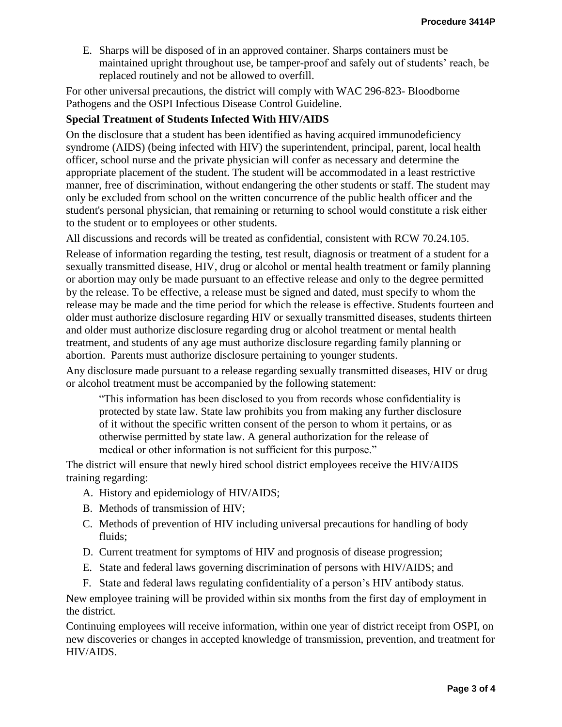E. Sharps will be disposed of in an approved container. Sharps containers must be maintained upright throughout use, be tamper-proof and safely out of students' reach, be replaced routinely and not be allowed to overfill.

For other universal precautions, the district will comply with WAC 296-823- Bloodborne Pathogens and the OSPI Infectious Disease Control Guideline.

## **Special Treatment of Students Infected With HIV/AIDS**

On the disclosure that a student has been identified as having acquired immunodeficiency syndrome (AIDS) (being infected with HIV) the superintendent, principal, parent, local health officer, school nurse and the private physician will confer as necessary and determine the appropriate placement of the student. The student will be accommodated in a least restrictive manner, free of discrimination, without endangering the other students or staff. The student may only be excluded from school on the written concurrence of the public health officer and the student's personal physician, that remaining or returning to school would constitute a risk either to the student or to employees or other students.

All discussions and records will be treated as confidential, consistent with RCW 70.24.105.

Release of information regarding the testing, test result, diagnosis or treatment of a student for a sexually transmitted disease, HIV, drug or alcohol or mental health treatment or family planning or abortion may only be made pursuant to an effective release and only to the degree permitted by the release. To be effective, a release must be signed and dated, must specify to whom the release may be made and the time period for which the release is effective. Students fourteen and older must authorize disclosure regarding HIV or sexually transmitted diseases, students thirteen and older must authorize disclosure regarding drug or alcohol treatment or mental health treatment, and students of any age must authorize disclosure regarding family planning or abortion. Parents must authorize disclosure pertaining to younger students.

Any disclosure made pursuant to a release regarding sexually transmitted diseases, HIV or drug or alcohol treatment must be accompanied by the following statement:

"This information has been disclosed to you from records whose confidentiality is protected by state law. State law prohibits you from making any further disclosure of it without the specific written consent of the person to whom it pertains, or as otherwise permitted by state law. A general authorization for the release of medical or other information is not sufficient for this purpose."

The district will ensure that newly hired school district employees receive the HIV/AIDS training regarding:

- A. History and epidemiology of HIV/AIDS;
- B. Methods of transmission of HIV;
- C. Methods of prevention of HIV including universal precautions for handling of body fluids;
- D. Current treatment for symptoms of HIV and prognosis of disease progression;
- E. State and federal laws governing discrimination of persons with HIV/AIDS; and
- F. State and federal laws regulating confidentiality of a person's HIV antibody status.

New employee training will be provided within six months from the first day of employment in the district.

Continuing employees will receive information, within one year of district receipt from OSPI, on new discoveries or changes in accepted knowledge of transmission, prevention, and treatment for HIV/AIDS.